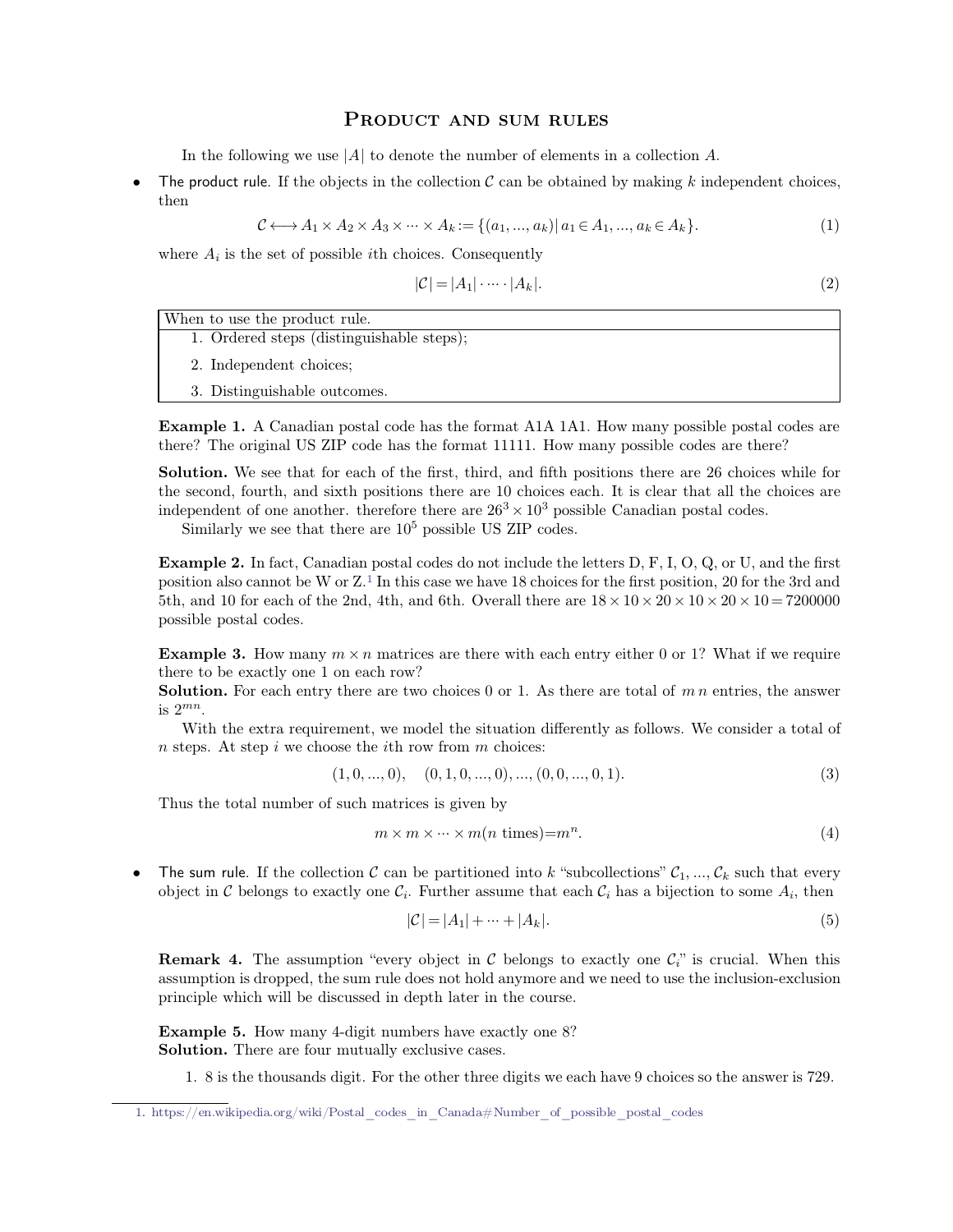**PRODUCT AND SUM RULES**<br>|A| to denote the number of elements in a collecti

**PRODUCT AND SUM RULES**<br> **In** the following we use  $|A|$  to denote the number of elements in a collection *A*.<br> **Product rule.** If the objects in the collection *C* can be obtained by making *k* independent choices,<br>
then then **le**. If the objects in the collection  $C$  can<br>  $C \longleftrightarrow A_1 \times A_2 \times A_3 \times \cdots \times A_k := \{(a_1, \dots, a_k) \in C \}$ <br>  $|C| = |A_1| \cdot \cdots \cdot |A_k|$ the number of elements in a collection  $A$ .<br>
lection  $C$  can be obtained by making  $k$  independent choices,<br>  $A_k := \{(a_1, ..., a_k) | a_1 \in A_1, ..., a_k \in A_k\}.$  (1)<br>
s. Consequently is the set of possible *i*th choices. Consequently<br>  $C \longleftrightarrow A_1 \times A_2 \times A_3 \times \cdots \times A_k := \{(a_1, ..., a_k) | a_1 \in A_1\}$ <br>
is the set of possible *i*th choices. Consequently<br>  $|C| = |A_1| \cdots |A_k|$ 

$$
\mathcal{C} \longleftrightarrow A_1 \times A_2 \times A_3 \times \dots \times A_k := \{ (a_1, ..., a_k) | a_1 \in A_1, ..., a_k \in A_k \}.
$$
 (1)

$$
|\mathcal{C}| = |A_1| \cdots |A_k|.\tag{2}
$$

| $C \leftrightarrow A_1 \times A_2 \times A_3 \times \cdots \times A_k := \{(a_1, , a_k)   a_1 \in A_1, , a_k \in A_k \}$                                                                        |                   |
|-------------------------------------------------------------------------------------------------------------------------------------------------------------------------------------------------|-------------------|
| where $A_i$ is the set of possible <i>i</i> th choices. Consequently                                                                                                                            |                   |
| $ \mathcal{C}  =  A_1  \cdot \cdots \cdot  A_k .$                                                                                                                                               | $\left( 2\right)$ |
| When to use the product rule.                                                                                                                                                                   |                   |
| 1. Ordered steps (distinguishable steps);                                                                                                                                                       |                   |
| 2. Independent choices;                                                                                                                                                                         |                   |
| 3. Distinguishable outcomes.                                                                                                                                                                    |                   |
| <b>Example 1.</b> A Canadian postal code has the format A1A 1A1. How many possible postal codes are<br>there? The original US ZIP code has the format 11111. How many possible codes are there? |                   |
| <b>Solution.</b> We see that for each of the first, third, and fifth positions there are 26 choices while for                                                                                   |                   |

**Solution.** We see that for each of the first, third, and fifth positions there are 26 choices while for the second, fourth, and sixth positions there are 10 choices each. It is clear that all the choices are there. **Example 1.** A Canadian postal code has the format A1A 1A1. How many possible postal codes are there? The original US ZIP code has the format 11111. How many possible codes are there?<br>**Solution.** We see that for each of t **Example 1.** A Canadian postal code has the format A1A 1A1. How many possible postal cod there? The original US ZIP code has the format 11111. How many possible codes are there? **Solution.** We see that for each of the fir re? The original US ZIP code has the format 11111. How man<br> **ution.** We see that for each of the first, third, and fifth positi<br>
second, fourth, and sixth positions there are 10 choices each.<br>
ependent of one another. the **Solution.** We see that for each of the first, third, and fifth positions there are 26 choices while for the second, fourth, and sixth positions there are  $10$  choices each. It is clear that all the choices are independen

the second, fourth, and sixth positions there are 10 choices each. It is clear that all the choices are independent of one another. therefore there are  $26^3 \times 10^3$  possible Canadian postal codes.<br>Similarly we see that t independent of one another. therefore there are  $26^3 \times 10^3$  possible Car<br>Similarly we see that there are  $10^5$  possible US ZIP codes.<br>**Example 2.** In fact, Canadian postal codes do not include the letters I<br>position al  $10 \times 20 \times 10 \times 20 \times 10 = 7200000$ Similarly we see that t<br> **Example 2.** In fact, Cana<br>
position also cannot be W<br>
5th, and 10 for each of the<br>
possible postal codes. **Example 2.** In fact, Canadian postal codes do not include the letters D, F, I, O, Q, or U, and the first position also cannot be W or Z.<sup>1</sup> In this case we have 18 choices for the first position, 20 for the 3rd and 5th, position also cannot be W or Z.<sup>1</sup> In this case we<br>5th, and 10 for each of the 2nd, 4th, and 6th. C<br>possible postal codes.<br>**Example 3.** How many  $m \times n$  matrices are there to be exactly one 1 on each row?<br>**Solution.** For e 5th, and 10 for each of the 2nd, 4th, and 6th. Overall there are  $18 \times 10 \times 20 \times 10 \times 20 \times 10 = 7200000$ <br>possible postal codes.<br>**Example 3.** How many  $m \times n$  matrices are there with each entry either 0 or 1? What if we requ

**Example 3.** How many  $m \times n$  matrices are there with each entry either 0 or 1? What if we require there to be exactly one 1 on each row?<br>**Solution.** For each entry there are two choices 0 or 1. As there are total of  $m n$  **Example 3.** How many  $m \times n$  matrices are there with each enthere to be exactly one 1 on each row?<br>**Solution.** For each entry there are two choices 0 or 1. As there is  $2^{mn}$ .<br>With the extra requirement, we model the situ there are two choices 0 or 1. As there are total of  $m n$  entries, the answer<br>ement, we model the situation differently as follows. We consider a total of<br>ose the *i*th row from  $m$  choices:<br> $(1, 0, ..., 0), (0, 1, 0, ..., 0), ..., (0, 0,$ 

It is 2<sup>*mm*</sup>.<br>With the extra requirement, we model the situation different matrices.<br>  $(1, 0, ..., 0), (0, 1, 0, ..., 0), ..., (0, 0, 0)$ <br>
Thus the total number of such matrices is given by<br>  $m \times m \times ... \times m(n \text{ times}) = m$ 

<span id="page-0-0"></span>
$$
(1,0,...,0), \quad (0,1,0,...,0), \ldots, (0,0,...,0,1). \tag{3}
$$

$$
m \times m \times \dots \times m(n \text{ times}) = m^n. \tag{4}
$$

Thus the total number of such matrices is given by<br>  $m \times m \times \dots \times m(n \text{ times}) = m^n$ . (4)<br>
• The sum rule. If the collection *C* can be partitioned into *k* "subcollections"  $C_1, ..., C_k$  such that every<br>
object in *C* belongs to exact Thus the total number of such matrices is given by<br>  $m \times m \times \dots \times m(n \text{ times}) = m^n$ .<br>
The sum rule. If the collection *C* can be partitioned into *k* "subcollections"  $C_1, ..., C_k$  such that eve<br>
object in *C* belongs to exactly one  $(4)$ <br>t every<br>, then<br> $(5)$ 

$$
|\mathcal{C}| = |A_1| + \dots + |A_k|.\tag{5}
$$

**The sum rule.** If the collection  $C$  can be partitioned into  $k$  "subcollections"  $C_1, ..., C_k$  such that every object in  $C$  belongs to exactly one  $C_i$ . Further assume that each  $C_i$  has a bijection to some  $A_i$ , then  $|C|$ by object in C belongs to exactly one  $C_i$ . Further assume that each  $C_i$  has a bijection to some  $A_i$ , then<br>  $|C| = |A_1| + \cdots + |A_k|$ . (5)<br> **Remark 4.** The assumption "every object in C belongs to exactly one  $C_i$ " is crucia **principle which will be discussed in depth later in the course.**<br> **principle which will be discussed in depth later in the course.**<br> **principle which will be discussed in depth later in the course. Remark 4.** The assumption "every object in C belongs to exactly assumption is dropped, the sum rule does not hold anymore and we nee principle which will be discussed in depth later in the course.<br>**Example 5.** How many 4assumption is dropped, the sum rule does not hold anymore and we need to use the inclusion-exclusion<br>principle which will be discussed in depth later in the course.<br>**Example 5.** How many 4-digit numbers have exactly one 8? [1.](#page-0-0) 8 is the thousands digit. For the other three digits we each have 9 choices so the answer is 729.<br>
1. 8 is the thousands digit. For the other three digits we each have 9 choices so the answer is 729.<br>
1. https://en.wiki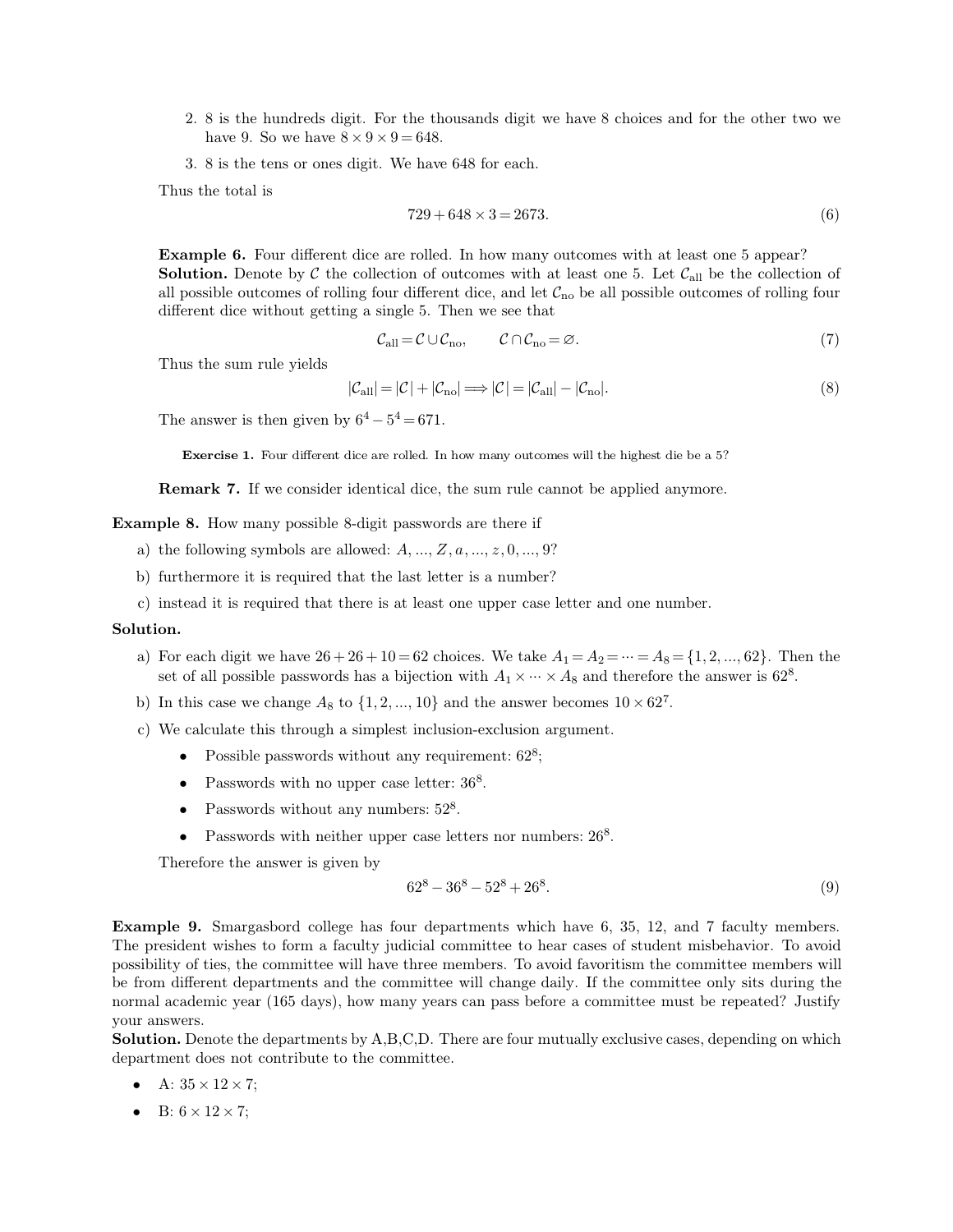- 2. <sup>8</sup> is the hundreds digit. For the thousands digit we have <sup>8</sup> choices and for the other two we 8 is the hundreds digit. For thave 9. So we have  $8 \times 9 \times 9 = 8$  is the tens or ones digit. W  $9 \times 9 = 648.$ 9 9 2. 8 is the hundreds digit. For the thousands digit we have 9. So we have  $8 \times 9 \times 9 = 648$ .<br>3. 8 is the tens or ones digit. We have 648 for each.<br>is the total is 2.  $8$  is the hundreds<br>have 9. So we have<br>3.  $8$  is the tens or or<br>Thus the total is  $3 = 2673.$  (6)<br> $3 = 2673.$ 
	-

$$
729 + 648 \times 3 = 2673. \tag{6}
$$

3. 8 is the tens or ones digit. We have 648 for each.<br>
Thus the total is<br>  $729 + 648 \times 3 = 2673$ . (6)<br> **Example 6.** Four different dice are rolled. In how many outcomes with at least one 5 appear?<br> **Solution.** Denote by  $C$ **Solution.** Denote by *C* the collection of outcomes with at least one 5 appear?<br>**Solution.** Denote by *C* the collection of outcomes with at least one 5. Let  $C_{\text{all}}$  be the collection of all possible outcomes of rollin  $729 + 648 \times 3 = 2673.$  (6)<br> **Example 6.** Four different dice are rolled. In how many outcomes with at least one 5 appear?<br> **Solution.** Denote by *C* the collection of outcomes with at least one 5. Let  $C_{\text{all}}$  be the coll **Example 6.** Four different dice are rolled. In how many outcon<br>**Solution.** Denote by C the collection of outcomes with at least<br>all possible outcomes of rolling four different dice, and let  $C_{\text{no}}$  be<br>different dice wi our different dice, and let  $C_{\text{no}}$  be all possible outcomes of rolling four<br>
single 5. Then we see that<br>  $C_{\text{all}} = C \cup C_{\text{no}}$ ,  $C \cap C_{\text{no}} = \emptyset$ . (7)<br>  $= |C| + |C_{\text{no}}| \Longrightarrow |C| = |C_{\text{all}}| - |C_{\text{no}}|$ . (8) **Solution.** Denote by  $C$  the colall possible outcomes of rolling<br>different dice without getting a<br>Thus the sum rule yields<br> $|C_{all}|$ 

$$
\mathcal{C}_{\text{all}} = \mathcal{C} \cup \mathcal{C}_{\text{no}}, \qquad \mathcal{C} \cap \mathcal{C}_{\text{no}} = \varnothing. \tag{7}
$$

$$
|\mathcal{C}_{\text{all}}| = |\mathcal{C}| + |\mathcal{C}_{\text{no}}| \Longrightarrow |\mathcal{C}| = |\mathcal{C}_{\text{all}}| - |\mathcal{C}_{\text{no}}|.
$$
\n(8)

Thus the sum rule yields<br>  $|\mathcal{C}_{all}| = |\mathcal{C}|$ .<br>
The answer is then given by  $6^4 - 5^4 = 6$ .  $4^4 - 5^4 = 671.$ 

**Exercise 1.** Four different dice are rolled. In how many outcomes will the highest die be a 5?

**Remark 7.** If we consider identical dice, the sum rule cannot be applied anymore. **Exercise 1.** Four different dice are rolled. In how many outcomes will the **Remark 7.** If we consider identical dice, the sum rule cannot be **ample 8.** How many possible 8-digit passwords are there if a) the following sym **Remark 7.** If we consider identical dice, the sum rule cannot be<br> **ample 8.** How many possible 8-digit passwords are there if<br>
a) the following symbols are allowed:  $A, ..., Z, a, ..., z, 0, ..., 9$ ?<br>
b) furthermore it is required that

**Example 8.** How many possible 8-digit passwords are there if

- 
- 
- b) furthermore it is required that the last letter is a number?<br>c) instead it is required that there is at least one upper case letter and one number.

## **Solution.**

- a) furthermore it is required that the last letter is a number?<br>c) instead it is required that there is at least one upper case letter and one number.<br>**a**) For each digit we have  $26 + 26 + 10 = 62$  choices. We take  $A_1 = A_2$ instead it is required that there is at least one upper case<br> **on.**<br>
For each digit we have  $26 + 26 + 10 = 62$  choices. We take *L*<br>
set of all possible passwords has a bijection with  $A_1 \times \cdots \times$ <br>
In this case we change  $A$ ake  $A_1 = A_2 = \dots =$ <br> $\dots \times A_8$  and there<br>wer becomes  $10 \times$ <br>on argument. etter and one number.<br>  $A_1 = A_2 = \dots = A_8 = \{1, 2, ..., 62\}$ . Then the  $A_8$  and therefore the answer is 62<sup>8</sup>.<br>
secomes  $10 \times 62^7$ . set of all possible passwords has a bijection with  $A_1 \times \cdots \times A_8$  and therefore the answer is 62<sup>8</sup>. **ution.**<br>
a) For each digit we have  $26 + 26 + 10 = 62$  choices. We take  $A_1 = A_2 = \dots = A_8 =$ <br>
set of all possible passwords has a bijection with  $A_1 \times \dots \times A_8$  and therefore the b) In this case we change  $A_8$  to  $\{1, 2, ..., 10\$ (a) For each digit we have  $26 + 26 + 10 = 62$  choices. We take  $A_1 = A_2 = \cdots =$ <br>set of all possible passwords has a bijection with  $A_1 \times \cdots \times A_8$  and there<br>b) In this case we change  $A_8$  to  $\{1, 2, \ldots, 10\}$  and the answer
- 62<sup>7</sup> . this case we change  $A_8$  to  $\{1, 2, ..., 10\}$  and the answereduction is calculate this through a simplest inclusion-exclusion Possible passwords without any requirement: 6:<br>
• Passwords with no upper case letter:  $36^8$ .<br>
- Calculate this through a simplest inclusion-exc<br>
 Possible passwords without any requiremen<br>
 Passwords with no upper case letter:  $36^8$ .<br>
 Passwords without any numbers:  $52^8$ .<br>
 Passwords with neither upper case
	- Possible passwords without any requirement:  $62^8$ ;
	- .
	- .
	- Passwords with no upper case letter:  $36^8$ .<br>• Passwords without any numbers:  $52^8$ .<br>• Passwords with neither upper case letters nor numbers:  $26^8$ .<br>Therefore the answer is given by - Passwords with no upper case letter:  $36^8$ .<br>
	- Passwords without any numbers:  $52^8$ .<br>
	- Passwords with neither upper case letters nor numbers:  $26^8$ .<br>
	Therefore the answer is given by<br>  $62^8 - 36^8 - 52^8 + 26^8$ .

$$
62^8 - 36^8 - 52^8 + 26^8. \tag{9}
$$

**Example 9.** Smargasbord college has four departments which have 6, 35, 12, and 7 faculty members.<br>The president wishes to form a faculty judicial committee to hear cases of student misbehavior. To avoid Therefore the answer is given by<br>  $62^8 - 36^8 - 52^8 + 26^8$ . (9)<br> **Example 9.** Smargasbord college has four departments which have 6, 35, 12, and 7 faculty members.<br>
The president wishes to form a faculty judicial committe **Example 9.** Smargasbord college has four departments which have 6, 35, 12, and 7 faculty members.<br>The president wishes to form a faculty judicial committee to hear cases of student misbehavior. To avoid possibility of ti **Example 9.** Smargasbord college has four departments which have 6, 35, 12, and 7 faculty members.<br>The president wishes to form a faculty judicial committee to hear cases of student misbehavior. To avoid possibility of ti **Example 9.** Smargasbord college has four departments which have 6, 35, 12, and 7 faculty members. The president wishes to form a faculty judicial committee to hear cases of student misbehavior. To avoid possibility of tie **Example 9.** Sm.<br>The president wise<br>possibility of ties,<br>be from different anormal academic y<br>your answers.<br>**Solution.** Denote The president wishes to form a faculty judicial committee to hear cases of student misbehavior. To avoid possibility of ties, the committee will have three members. To avoid favoritism the committee members will be from di possibility of ties, the committee will have three memb-<br>be from different departments and the committee will<br>normal academic year (165 days), how many years can<br>your answers.<br>**Solution.** Denote the departments by A,B,C,D

- $12 \times 7$ ;
- $\bullet$  B:  $6 \times 12 \times 7$ ;